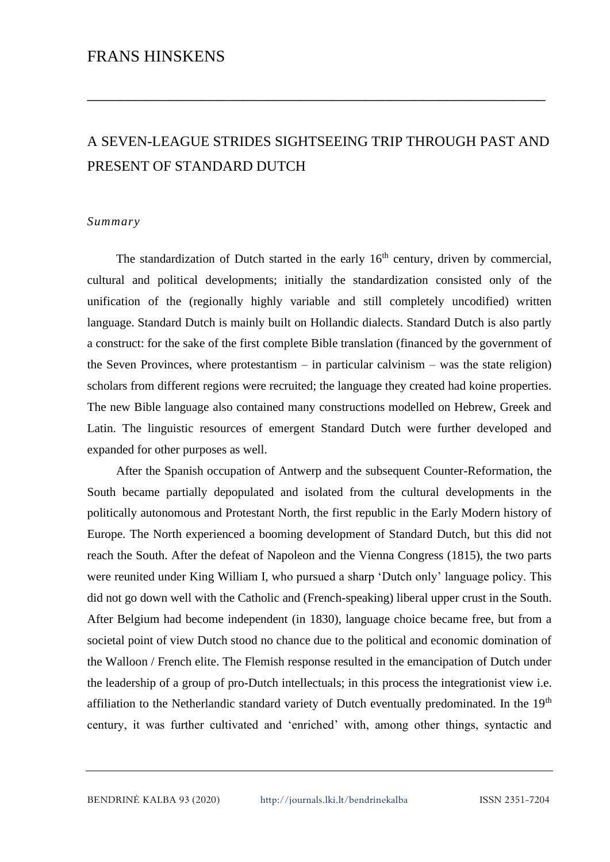## FRANS HINSKENS

# A SEVEN-LEAGUE STRIDES SIGHTSEEING TRIP THROUGH PAST AND PRESENT OF STANDARD DUTCH

\_\_\_\_\_\_\_\_\_\_\_\_\_\_\_\_\_\_\_\_\_\_\_\_\_\_\_\_\_\_\_\_\_\_\_\_\_\_\_\_\_\_\_\_\_\_\_\_\_\_\_\_\_\_\_\_

#### *Summary*

The standardization of Dutch started in the early  $16<sup>th</sup>$  century, driven by commercial, cultural and political developments; initially the standardization consisted only of the unification of the (regionally highly variable and still completely uncodified) written language. Standard Dutch is mainly built on Hollandic dialects. Standard Dutch is also partly a construct: for the sake of the first complete Bible translation (financed by the government of the Seven Provinces, where protestantism – in particular calvinism – was the state religion) scholars from different regions were recruited; the language they created had koine properties. The new Bible language also contained many constructions modelled on Hebrew, Greek and Latin. The linguistic resources of emergent Standard Dutch were further developed and expanded for other purposes as well.

After the Spanish occupation of Antwerp and the subsequent Counter-Reformation, the South became partially depopulated and isolated from the cultural developments in the politically autonomous and Protestant North, the first republic in the Early Modern history of Europe. The North experienced a booming development of Standard Dutch, but this did not reach the South. After the defeat of Napoleon and the Vienna Congress (1815), the two parts were reunited under King William I, who pursued a sharp 'Dutch only' language policy. This did not go down well with the Catholic and (French-speaking) liberal upper crust in the South. After Belgium had become independent (in 1830), language choice became free, but from a societal point of view Dutch stood no chance due to the political and economic domination of the Walloon / French elite. The Flemish response resulted in the emancipation of Dutch under the leadership of a group of pro-Dutch intellectuals; in this process the integrationist view i.e. affiliation to the Netherlandic standard variety of Dutch eventually predominated. In the 19<sup>th</sup> century, it was further cultivated and 'enriched' with, among other things, syntactic and